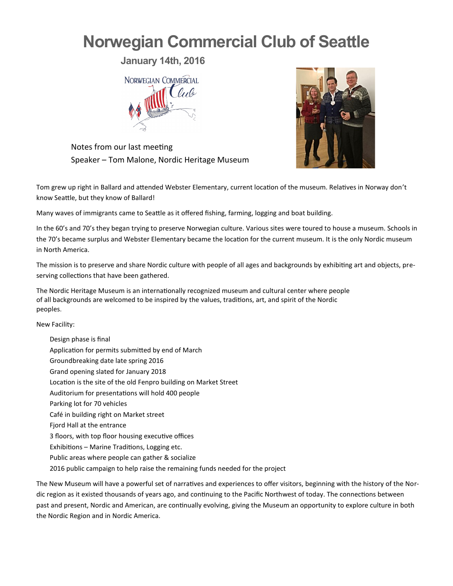## **Norwegian Commercial Club of Seattle**

**January 14th, 2016**



Notes from our last meeting Speaker – Tom Malone, Nordic Heritage Museum

Tom grew up right in Ballard and attended Webster Elementary, current location of the museum. Relatives in Norway don't know Seattle, but they know of Ballard!

Many waves of immigrants came to Seattle as it offered fishing, farming, logging and boat building.

In the 60's and 70's they began trying to preserve Norwegian culture. Various sites were toured to house a museum. Schools in the 70's became surplus and Webster Elementary became the location for the current museum. It is the only Nordic museum in North America.

The mission is to preserve and share Nordic culture with people of all ages and backgrounds by exhibiting art and objects, preserving collections that have been gathered.

The Nordic Heritage Museum is an internationally recognized museum and cultural center where people of all backgrounds are welcomed to be inspired by the values, traditions, art, and spirit of the Nordic peoples.

New Facility:

Design phase is final Application for permits submitted by end of March Groundbreaking date late spring 2016 Grand opening slated for January 2018 Location is the site of the old Fenpro building on Market Street Auditorium for presentations will hold 400 people Parking lot for 70 vehicles Café in building right on Market street Fjord Hall at the entrance 3 floors, with top floor housing executive offices Exhibitions – Marine Traditions, Logging etc. Public areas where people can gather & socialize 2016 public campaign to help raise the remaining funds needed for the project

The New Museum will have a powerful set of narratives and experiences to offer visitors, beginning with the history of the Nordic region as it existed thousands of years ago, and continuing to the Pacific Northwest of today. The connections between past and present, Nordic and American, are continually evolving, giving the Museum an opportunity to explore culture in both the Nordic Region and in Nordic America.